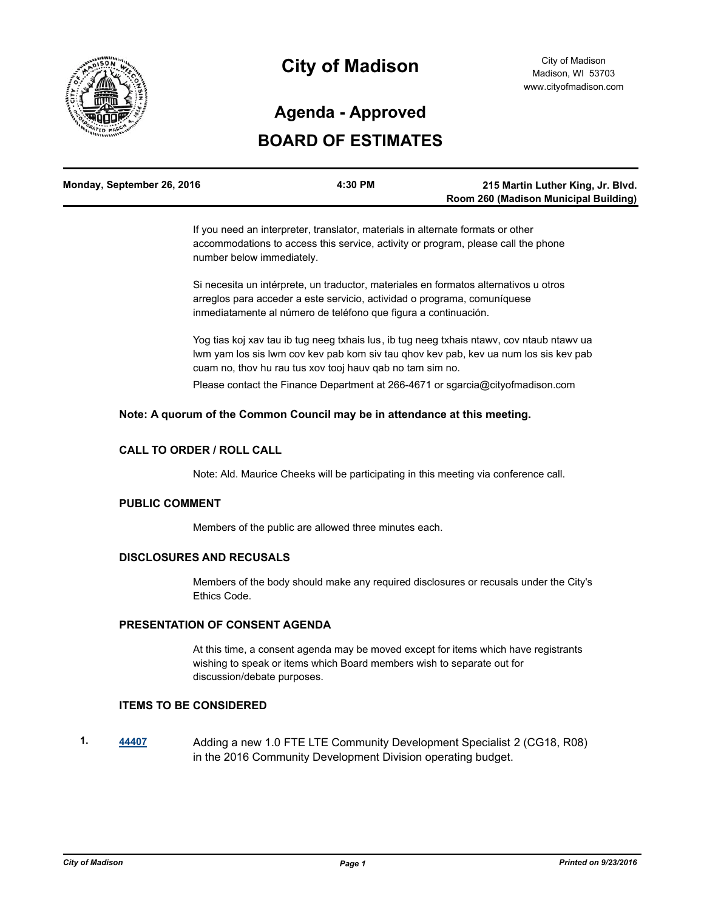

# **City of Madison**

# **BOARD OF ESTIMATES Agenda - Approved**

| Monday, September 26, 2016 | 4:30 PM | 215 Martin Luther King, Jr. Blvd.     |
|----------------------------|---------|---------------------------------------|
|                            |         | Room 260 (Madison Municipal Building) |

If you need an interpreter, translator, materials in alternate formats or other accommodations to access this service, activity or program, please call the phone number below immediately.

Si necesita un intérprete, un traductor, materiales en formatos alternativos u otros arreglos para acceder a este servicio, actividad o programa, comuníquese inmediatamente al número de teléfono que figura a continuación.

Yog tias koj xav tau ib tug neeg txhais lus, ib tug neeg txhais ntawv, cov ntaub ntawv ua lwm yam los sis lwm cov kev pab kom siv tau qhov kev pab, kev ua num los sis kev pab cuam no, thov hu rau tus xov tooj hauv qab no tam sim no.

Please contact the Finance Department at 266-4671 or sgarcia@cityofmadison.com

### **Note: A quorum of the Common Council may be in attendance at this meeting.**

## **CALL TO ORDER / ROLL CALL**

Note: Ald. Maurice Cheeks will be participating in this meeting via conference call.

#### **PUBLIC COMMENT**

Members of the public are allowed three minutes each.

### **DISCLOSURES AND RECUSALS**

Members of the body should make any required disclosures or recusals under the City's Ethics Code.

### **PRESENTATION OF CONSENT AGENDA**

At this time, a consent agenda may be moved except for items which have registrants wishing to speak or items which Board members wish to separate out for discussion/debate purposes.

#### **ITEMS TO BE CONSIDERED**

**1. [44407](http://madison.legistar.com/gateway.aspx?m=l&id=/matter.aspx?key=48583)** Adding a new 1.0 FTE LTE Community Development Specialist 2 (CG18, R08) in the 2016 Community Development Division operating budget.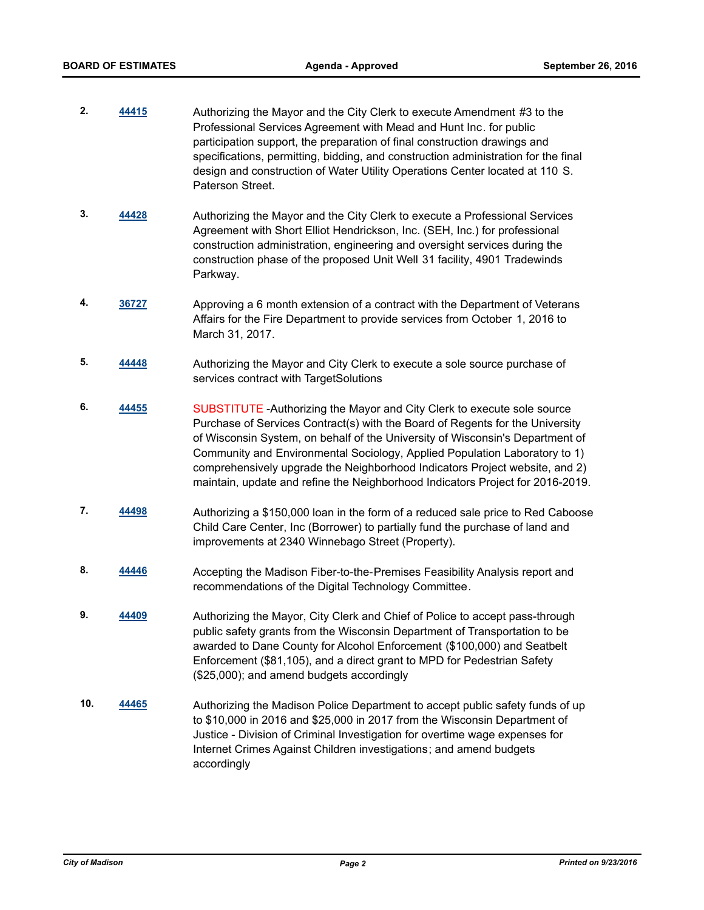- **2. [44415](http://madison.legistar.com/gateway.aspx?m=l&id=/matter.aspx?key=48591)** Authorizing the Mayor and the City Clerk to execute Amendment #3 to the Professional Services Agreement with Mead and Hunt Inc. for public participation support, the preparation of final construction drawings and specifications, permitting, bidding, and construction administration for the final design and construction of Water Utility Operations Center located at 110 S. Paterson Street.
- **3. [44428](http://madison.legistar.com/gateway.aspx?m=l&id=/matter.aspx?key=48598)** Authorizing the Mayor and the City Clerk to execute a Professional Services Agreement with Short Elliot Hendrickson, Inc. (SEH, Inc.) for professional construction administration, engineering and oversight services during the construction phase of the proposed Unit Well 31 facility, 4901 Tradewinds Parkway.
- **4. [36727](http://madison.legistar.com/gateway.aspx?m=l&id=/matter.aspx?key=39658)** Approving a 6 month extension of a contract with the Department of Veterans Affairs for the Fire Department to provide services from October 1, 2016 to March 31, 2017.
- **5. [44448](http://madison.legistar.com/gateway.aspx?m=l&id=/matter.aspx?key=48618)** Authorizing the Mayor and City Clerk to execute a sole source purchase of services contract with TargetSolutions
- **6. [44455](http://madison.legistar.com/gateway.aspx?m=l&id=/matter.aspx?key=48625)** SUBSTITUTE -Authorizing the Mayor and City Clerk to execute sole source Purchase of Services Contract(s) with the Board of Regents for the University of Wisconsin System, on behalf of the University of Wisconsin's Department of Community and Environmental Sociology, Applied Population Laboratory to 1) comprehensively upgrade the Neighborhood Indicators Project website, and 2) maintain, update and refine the Neighborhood Indicators Project for 2016-2019.
- **7. [44498](http://madison.legistar.com/gateway.aspx?m=l&id=/matter.aspx?key=48668)** Authorizing a \$150,000 loan in the form of a reduced sale price to Red Caboose Child Care Center, Inc (Borrower) to partially fund the purchase of land and improvements at 2340 Winnebago Street (Property).
- **8. [44446](http://madison.legistar.com/gateway.aspx?m=l&id=/matter.aspx?key=48616)** Accepting the Madison Fiber-to-the-Premises Feasibility Analysis report and recommendations of the Digital Technology Committee.
- **9. [44409](http://madison.legistar.com/gateway.aspx?m=l&id=/matter.aspx?key=48585)** Authorizing the Mayor, City Clerk and Chief of Police to accept pass-through public safety grants from the Wisconsin Department of Transportation to be awarded to Dane County for Alcohol Enforcement (\$100,000) and Seatbelt Enforcement (\$81,105), and a direct grant to MPD for Pedestrian Safety (\$25,000); and amend budgets accordingly
- **10. [44465](http://madison.legistar.com/gateway.aspx?m=l&id=/matter.aspx?key=48635)** Authorizing the Madison Police Department to accept public safety funds of up to \$10,000 in 2016 and \$25,000 in 2017 from the Wisconsin Department of Justice - Division of Criminal Investigation for overtime wage expenses for Internet Crimes Against Children investigations; and amend budgets accordingly